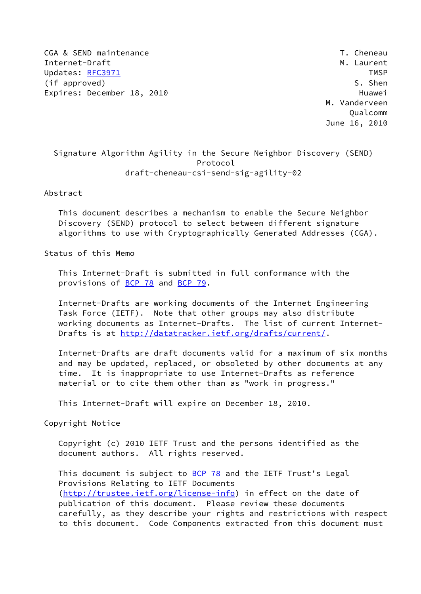CGA & SEND maintenance  $\overline{C}$  and  $\overline{C}$  and  $\overline{C}$  and  $\overline{C}$  are  $\overline{C}$  and  $\overline{C}$  are  $\overline{C}$  and  $\overline{C}$  are  $\overline{C}$  and  $\overline{C}$  are  $\overline{C}$  and  $\overline{C}$  are  $\overline{C}$  and  $\overline{C}$  are  $\overline{C}$  and  $\overline$ Internet-Draft Metal Metal Metal Metal Metal Metal Metal Metal Metal Metal Metal Metal Metal Metal Metal Metal Updates: [RFC3971](https://datatracker.ietf.org/doc/pdf/rfc3971) TMSP (if approved) S. Shen Expires: December 18, 2010 **Huawei** 

 M. Vanderveen Qualcomm June 16, 2010

# Signature Algorithm Agility in the Secure Neighbor Discovery (SEND) Protocol draft-cheneau-csi-send-sig-agility-02

Abstract

 This document describes a mechanism to enable the Secure Neighbor Discovery (SEND) protocol to select between different signature algorithms to use with Cryptographically Generated Addresses (CGA).

Status of this Memo

 This Internet-Draft is submitted in full conformance with the provisions of **BCP 78** and **BCP 79**.

 Internet-Drafts are working documents of the Internet Engineering Task Force (IETF). Note that other groups may also distribute working documents as Internet-Drafts. The list of current Internet Drafts is at<http://datatracker.ietf.org/drafts/current/>.

 Internet-Drafts are draft documents valid for a maximum of six months and may be updated, replaced, or obsoleted by other documents at any time. It is inappropriate to use Internet-Drafts as reference material or to cite them other than as "work in progress."

This Internet-Draft will expire on December 18, 2010.

Copyright Notice

 Copyright (c) 2010 IETF Trust and the persons identified as the document authors. All rights reserved.

This document is subject to **[BCP 78](https://datatracker.ietf.org/doc/pdf/bcp78)** and the IETF Trust's Legal Provisions Relating to IETF Documents [\(http://trustee.ietf.org/license-info](http://trustee.ietf.org/license-info)) in effect on the date of publication of this document. Please review these documents carefully, as they describe your rights and restrictions with respect to this document. Code Components extracted from this document must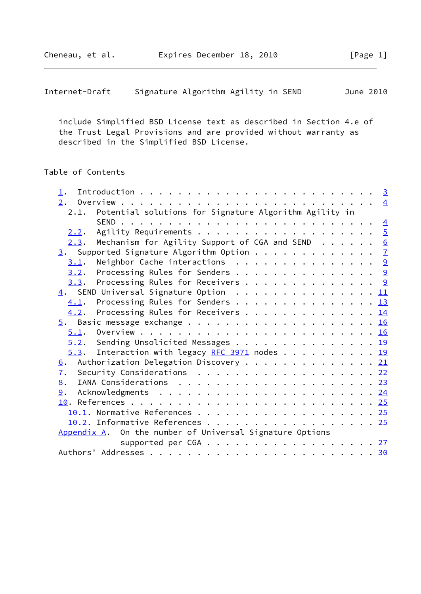include Simplified BSD License text as described in Section 4.e of the Trust Legal Provisions and are provided without warranty as described in the Simplified BSD License.

## Table of Contents

| 1.                                                                             |  |
|--------------------------------------------------------------------------------|--|
|                                                                                |  |
| 2.1. Potential solutions for Signature Algorithm Agility in                    |  |
|                                                                                |  |
| 2.2.                                                                           |  |
| Mechanism for Agility Support of CGA and SEND $\cdots$ $\underline{6}$<br>2.3. |  |
| 3. Supported Signature Algorithm Option 7                                      |  |
| Neighbor Cache interactions $\ldots \ldots \ldots \ldots \ldots$<br>3.1.       |  |
| Processing Rules for Senders 9<br>3.2.                                         |  |
| 3.3. Processing Rules for Receivers 9                                          |  |
| $\underline{4}$ . SEND Universal Signature Option 11                           |  |
| Processing Rules for Senders 13<br>4.1.                                        |  |
| Processing Rules for Receivers 14<br>4.2.                                      |  |
|                                                                                |  |
|                                                                                |  |
| 5.2. Sending Unsolicited Messages 19                                           |  |
| $5.3$ . Interaction with legacy RFC 3971 nodes 19                              |  |
| Authorization Delegation Discovery 21<br>6.                                    |  |
| $\overline{1}$ .<br>Security Considerations 22                                 |  |
| 8.                                                                             |  |
| 9.                                                                             |  |
|                                                                                |  |
|                                                                                |  |
| 10.2. Informative References 25                                                |  |
| Appendix A. On the number of Universal Signature Options                       |  |
| supported per CGA 27                                                           |  |
|                                                                                |  |
|                                                                                |  |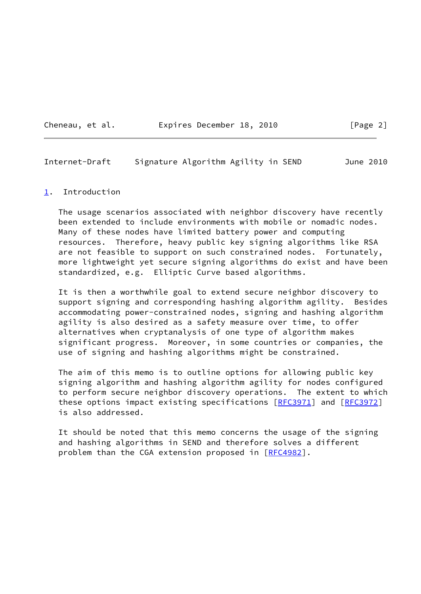Cheneau, et al. **Expires December 18, 2010**[Page 2]

<span id="page-2-1"></span>Internet-Draft Signature Algorithm Agility in SEND June 2010

#### <span id="page-2-0"></span>[1](#page-2-0). Introduction

 The usage scenarios associated with neighbor discovery have recently been extended to include environments with mobile or nomadic nodes. Many of these nodes have limited battery power and computing resources. Therefore, heavy public key signing algorithms like RSA are not feasible to support on such constrained nodes. Fortunately, more lightweight yet secure signing algorithms do exist and have been standardized, e.g. Elliptic Curve based algorithms.

 It is then a worthwhile goal to extend secure neighbor discovery to support signing and corresponding hashing algorithm agility. Besides accommodating power-constrained nodes, signing and hashing algorithm agility is also desired as a safety measure over time, to offer alternatives when cryptanalysis of one type of algorithm makes significant progress. Moreover, in some countries or companies, the use of signing and hashing algorithms might be constrained.

 The aim of this memo is to outline options for allowing public key signing algorithm and hashing algorithm agility for nodes configured to perform secure neighbor discovery operations. The extent to which these options impact existing specifications [\[RFC3971](https://datatracker.ietf.org/doc/pdf/rfc3971)] and [[RFC3972\]](https://datatracker.ietf.org/doc/pdf/rfc3972) is also addressed.

 It should be noted that this memo concerns the usage of the signing and hashing algorithms in SEND and therefore solves a different problem than the CGA extension proposed in [[RFC4982\]](https://datatracker.ietf.org/doc/pdf/rfc4982).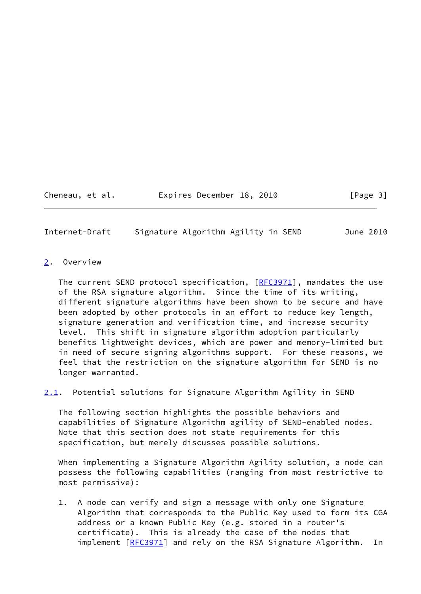Cheneau, et al. **Expires December 18, 2010** [Page 3]

<span id="page-3-1"></span>Internet-Draft Signature Algorithm Agility in SEND June 2010

## <span id="page-3-0"></span>[2](#page-3-0). Overview

The current SEND protocol specification, [\[RFC3971](https://datatracker.ietf.org/doc/pdf/rfc3971)], mandates the use of the RSA signature algorithm. Since the time of its writing, different signature algorithms have been shown to be secure and have been adopted by other protocols in an effort to reduce key length, signature generation and verification time, and increase security level. This shift in signature algorithm adoption particularly benefits lightweight devices, which are power and memory-limited but in need of secure signing algorithms support. For these reasons, we feel that the restriction on the signature algorithm for SEND is no longer warranted.

<span id="page-3-2"></span>[2.1](#page-3-2). Potential solutions for Signature Algorithm Agility in SEND

 The following section highlights the possible behaviors and capabilities of Signature Algorithm agility of SEND-enabled nodes. Note that this section does not state requirements for this specification, but merely discusses possible solutions.

 When implementing a Signature Algorithm Agility solution, a node can possess the following capabilities (ranging from most restrictive to most permissive):

 1. A node can verify and sign a message with only one Signature Algorithm that corresponds to the Public Key used to form its CGA address or a known Public Key (e.g. stored in a router's certificate). This is already the case of the nodes that implement [[RFC3971](https://datatracker.ietf.org/doc/pdf/rfc3971)] and rely on the RSA Signature Algorithm. In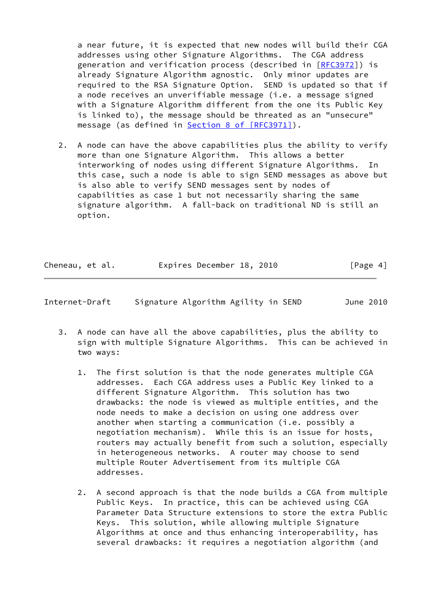a near future, it is expected that new nodes will build their CGA addresses using other Signature Algorithms. The CGA address generation and verification process (described in [[RFC3972](https://datatracker.ietf.org/doc/pdf/rfc3972)]) is already Signature Algorithm agnostic. Only minor updates are required to the RSA Signature Option. SEND is updated so that if a node receives an unverifiable message (i.e. a message signed with a Signature Algorithm different from the one its Public Key is linked to), the message should be threated as an "unsecure" message (as defined in Section [8 of \[RFC3971\]](https://datatracker.ietf.org/doc/pdf/rfc3971#section-8)).

 2. A node can have the above capabilities plus the ability to verify more than one Signature Algorithm. This allows a better interworking of nodes using different Signature Algorithms. In this case, such a node is able to sign SEND messages as above but is also able to verify SEND messages sent by nodes of capabilities as case 1 but not necessarily sharing the same signature algorithm. A fall-back on traditional ND is still an option.

| Cheneau, et al. | Expires December 18, 2010 | [Page 4] |
|-----------------|---------------------------|----------|
|                 |                           |          |

<span id="page-4-0"></span>

| Internet-Draft | Signature Algorithm Agility in SEND |  |  |  | June 2010 |
|----------------|-------------------------------------|--|--|--|-----------|
|----------------|-------------------------------------|--|--|--|-----------|

- 3. A node can have all the above capabilities, plus the ability to sign with multiple Signature Algorithms. This can be achieved in two ways:
	- 1. The first solution is that the node generates multiple CGA addresses. Each CGA address uses a Public Key linked to a different Signature Algorithm. This solution has two drawbacks: the node is viewed as multiple entities, and the node needs to make a decision on using one address over another when starting a communication (i.e. possibly a negotiation mechanism). While this is an issue for hosts, routers may actually benefit from such a solution, especially in heterogeneous networks. A router may choose to send multiple Router Advertisement from its multiple CGA addresses.
	- 2. A second approach is that the node builds a CGA from multiple Public Keys. In practice, this can be achieved using CGA Parameter Data Structure extensions to store the extra Public Keys. This solution, while allowing multiple Signature Algorithms at once and thus enhancing interoperability, has several drawbacks: it requires a negotiation algorithm (and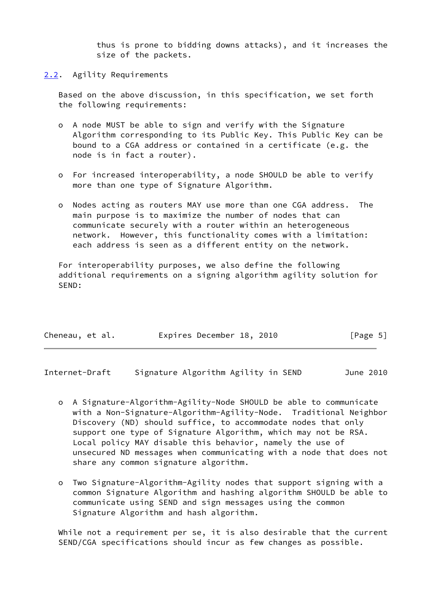thus is prone to bidding downs attacks), and it increases the size of the packets.

## <span id="page-5-0"></span>[2.2](#page-5-0). Agility Requirements

 Based on the above discussion, in this specification, we set forth the following requirements:

- o A node MUST be able to sign and verify with the Signature Algorithm corresponding to its Public Key. This Public Key can be bound to a CGA address or contained in a certificate (e.g. the node is in fact a router).
- o For increased interoperability, a node SHOULD be able to verify more than one type of Signature Algorithm.
- o Nodes acting as routers MAY use more than one CGA address. The main purpose is to maximize the number of nodes that can communicate securely with a router within an heterogeneous network. However, this functionality comes with a limitation: each address is seen as a different entity on the network.

 For interoperability purposes, we also define the following additional requirements on a signing algorithm agility solution for SEND:

| Cheneau, et al. | Expires December 18, 2010 | [Page 5] |
|-----------------|---------------------------|----------|
|-----------------|---------------------------|----------|

<span id="page-5-1"></span>Internet-Draft Signature Algorithm Agility in SEND June 2010

- o A Signature-Algorithm-Agility-Node SHOULD be able to communicate with a Non-Signature-Algorithm-Agility-Node. Traditional Neighbor Discovery (ND) should suffice, to accommodate nodes that only support one type of Signature Algorithm, which may not be RSA. Local policy MAY disable this behavior, namely the use of unsecured ND messages when communicating with a node that does not share any common signature algorithm.
- o Two Signature-Algorithm-Agility nodes that support signing with a common Signature Algorithm and hashing algorithm SHOULD be able to communicate using SEND and sign messages using the common Signature Algorithm and hash algorithm.

 While not a requirement per se, it is also desirable that the current SEND/CGA specifications should incur as few changes as possible.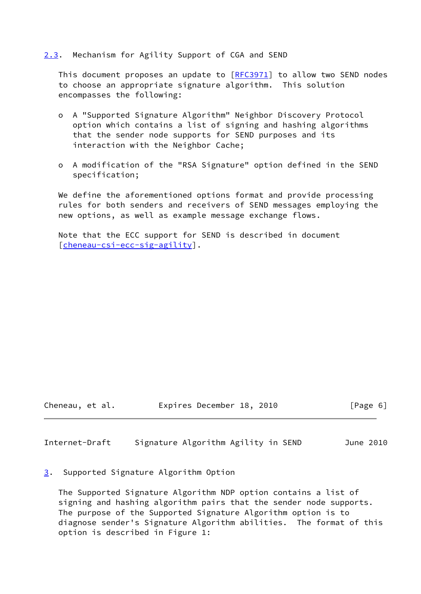## <span id="page-6-0"></span>[2.3](#page-6-0). Mechanism for Agility Support of CGA and SEND

This document proposes an update to  $[REC3971]$  to allow two SEND nodes to choose an appropriate signature algorithm. This solution encompasses the following:

- o A "Supported Signature Algorithm" Neighbor Discovery Protocol option which contains a list of signing and hashing algorithms that the sender node supports for SEND purposes and its interaction with the Neighbor Cache;
- o A modification of the "RSA Signature" option defined in the SEND specification;

We define the aforementioned options format and provide processing rules for both senders and receivers of SEND messages employing the new options, as well as example message exchange flows.

 Note that the ECC support for SEND is described in document [\[cheneau-csi-ecc-sig-agility](#page-27-4)].

Cheneau, et al. Expires December 18, 2010 [Page 6]

<span id="page-6-2"></span>Internet-Draft Signature Algorithm Agility in SEND June 2010

<span id="page-6-1"></span>[3](#page-6-1). Supported Signature Algorithm Option

 The Supported Signature Algorithm NDP option contains a list of signing and hashing algorithm pairs that the sender node supports. The purpose of the Supported Signature Algorithm option is to diagnose sender's Signature Algorithm abilities. The format of this option is described in Figure 1: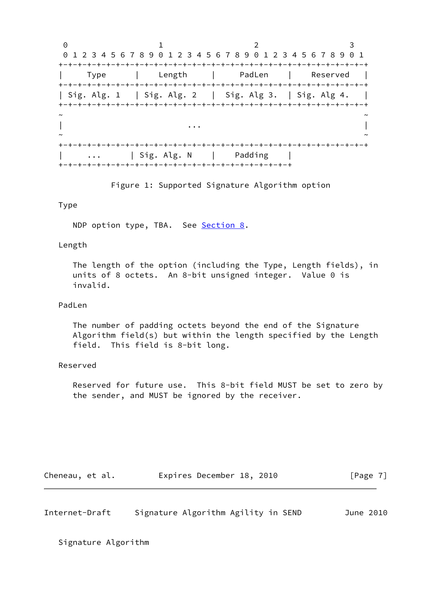0 1 2 3 0 1 2 3 4 5 6 7 8 9 0 1 2 3 4 5 6 7 8 9 0 1 2 3 4 5 6 7 8 9 0 1 +-+-+-+-+-+-+-+-+-+-+-+-+-+-+-+-+-+-+-+-+-+-+-+-+-+-+-+-+-+-+-+-+ | Type | Length | PadLen | Reserved | +-+-+-+-+-+-+-+-+-+-+-+-+-+-+-+-+-+-+-+-+-+-+-+-+-+-+-+-+-+-+-+-+ | Sig. Alg. 1 | Sig. Alg. 2 | Sig. Alg 3. | Sig. Alg 4. | +-+-+-+-+-+-+-+-+-+-+-+-+-+-+-+-+-+-+-+-+-+-+-+-+-+-+-+-+-+-+-+-+ ~ ~ | ... | ... | ... | ... | ... | ... | ... | ... | ... | ... | ... | ... | ... | ... | ... | ... | ... | ... | . ~ ~ +-+-+-+-+-+-+-+-+-+-+-+-+-+-+-+-+-+-+-+-+-+-+-+-+-+-+-+-+-+-+-+-+ | ... | Sig. Alg. N | Padding | +-+-+-+-+-+-+-+-+-+-+-+-+-+-+-+-+-+-+-+-+-+-+-+-+

Figure 1: Supported Signature Algorithm option

## Type

NDP option type, TBA. See [Section 8.](#page-25-0)

#### Length

 The length of the option (including the Type, Length fields), in units of 8 octets. An 8-bit unsigned integer. Value 0 is invalid.

## PadLen

 The number of padding octets beyond the end of the Signature Algorithm field(s) but within the length specified by the Length field. This field is 8-bit long.

## Reserved

 Reserved for future use. This 8-bit field MUST be set to zero by the sender, and MUST be ignored by the receiver.

| Cheneau, et al. | Expires December 18, 2010 |  | [Page 7] |
|-----------------|---------------------------|--|----------|
|-----------------|---------------------------|--|----------|

Internet-Draft Signature Algorithm Agility in SEND June 2010

Signature Algorithm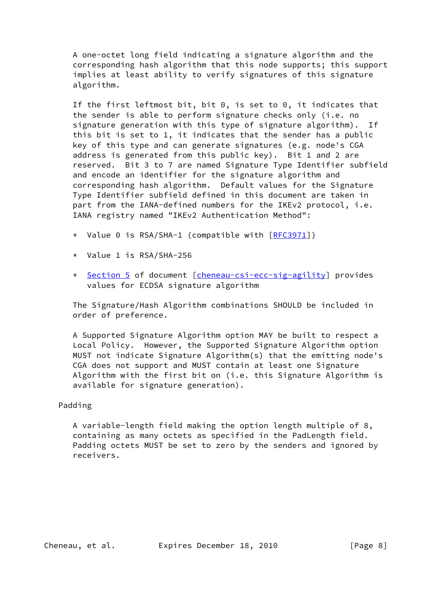A one-octet long field indicating a signature algorithm and the corresponding hash algorithm that this node supports; this support implies at least ability to verify signatures of this signature algorithm.

 If the first leftmost bit, bit 0, is set to 0, it indicates that the sender is able to perform signature checks only (i.e. no signature generation with this type of signature algorithm). If this bit is set to 1, it indicates that the sender has a public key of this type and can generate signatures (e.g. node's CGA address is generated from this public key). Bit 1 and 2 are reserved. Bit 3 to 7 are named Signature Type Identifier subfield and encode an identifier for the signature algorithm and corresponding hash algorithm. Default values for the Signature Type Identifier subfield defined in this document are taken in part from the IANA-defined numbers for the IKEv2 protocol, i.e. IANA registry named "IKEv2 Authentication Method":

- \* Value 0 is RSA/SHA-1 (compatible with [\[RFC3971](https://datatracker.ietf.org/doc/pdf/rfc3971)])
- \* Value 1 is RSA/SHA-256
- \* [Section 5](#page-17-0) of document [\[cheneau-csi-ecc-sig-agility](#page-27-4)] provides values for ECDSA signature algorithm

 The Signature/Hash Algorithm combinations SHOULD be included in order of preference.

 A Supported Signature Algorithm option MAY be built to respect a Local Policy. However, the Supported Signature Algorithm option MUST not indicate Signature Algorithm(s) that the emitting node's CGA does not support and MUST contain at least one Signature Algorithm with the first bit on (i.e. this Signature Algorithm is available for signature generation).

## Padding

 A variable-length field making the option length multiple of 8, containing as many octets as specified in the PadLength field. Padding octets MUST be set to zero by the senders and ignored by receivers.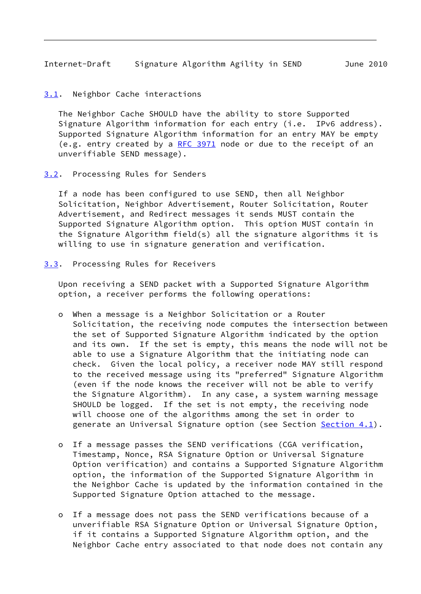#### <span id="page-9-1"></span><span id="page-9-0"></span>[3.1](#page-9-0). Neighbor Cache interactions

 The Neighbor Cache SHOULD have the ability to store Supported Signature Algorithm information for each entry (i.e. IPv6 address). Supported Signature Algorithm information for an entry MAY be empty (e.g. entry created by a [RFC 3971](https://datatracker.ietf.org/doc/pdf/rfc3971) node or due to the receipt of an unverifiable SEND message).

<span id="page-9-2"></span>[3.2](#page-9-2). Processing Rules for Senders

 If a node has been configured to use SEND, then all Neighbor Solicitation, Neighbor Advertisement, Router Solicitation, Router Advertisement, and Redirect messages it sends MUST contain the Supported Signature Algorithm option. This option MUST contain in the Signature Algorithm field(s) all the signature algorithms it is willing to use in signature generation and verification.

<span id="page-9-3"></span>[3.3](#page-9-3). Processing Rules for Receivers

 Upon receiving a SEND packet with a Supported Signature Algorithm option, a receiver performs the following operations:

- o When a message is a Neighbor Solicitation or a Router Solicitation, the receiving node computes the intersection between the set of Supported Signature Algorithm indicated by the option and its own. If the set is empty, this means the node will not be able to use a Signature Algorithm that the initiating node can check. Given the local policy, a receiver node MAY still respond to the received message using its "preferred" Signature Algorithm (even if the node knows the receiver will not be able to verify the Signature Algorithm). In any case, a system warning message SHOULD be logged. If the set is not empty, the receiving node will choose one of the algorithms among the set in order to generate an Universal Signature option (see Section [Section 4.1](#page-14-0)).
- o If a message passes the SEND verifications (CGA verification, Timestamp, Nonce, RSA Signature Option or Universal Signature Option verification) and contains a Supported Signature Algorithm option, the information of the Supported Signature Algorithm in the Neighbor Cache is updated by the information contained in the Supported Signature Option attached to the message.
- o If a message does not pass the SEND verifications because of a unverifiable RSA Signature Option or Universal Signature Option, if it contains a Supported Signature Algorithm option, and the Neighbor Cache entry associated to that node does not contain any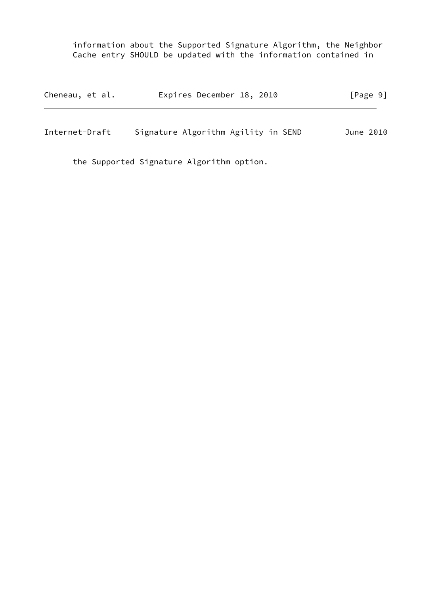information about the Supported Signature Algorithm, the Neighbor Cache entry SHOULD be updated with the information contained in

| Cheneau, et al. | Expires December 18, 2010           | $\lceil \text{Page } 9 \rceil$ |
|-----------------|-------------------------------------|--------------------------------|
| Internet-Draft  | Signature Algorithm Agility in SEND | June 2010                      |

the Supported Signature Algorithm option.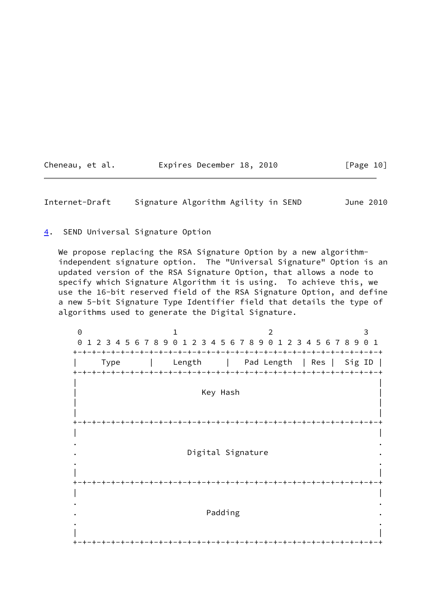| Cheneau, et al. | Expires December 18, 2010 | [Page 10] |
|-----------------|---------------------------|-----------|
|-----------------|---------------------------|-----------|

<span id="page-11-1"></span>Internet-Draft Signature Algorithm Agility in SEND June 2010

<span id="page-11-0"></span>[4](#page-11-0). SEND Universal Signature Option

We propose replacing the RSA Signature Option by a new algorithm independent signature option. The "Universal Signature" Option is an updated version of the RSA Signature Option, that allows a node to specify which Signature Algorithm it is using. To achieve this, we use the 16-bit reserved field of the RSA Signature Option, and define a new 5-bit Signature Type Identifier field that details the type of algorithms used to generate the Digital Signature.

0 1 2 3 0 1 2 3 4 5 6 7 8 9 0 1 2 3 4 5 6 7 8 9 0 1 2 3 4 5 6 7 8 9 0 1 +-+-+-+-+-+-+-+-+-+-+-+-+-+-+-+-+-+-+-+-+-+-+-+-+-+-+-+-+-+-+-+-+ | Type | Length | Pad Length | Res | Sig ID | +-+-+-+-+-+-+-+-+-+-+-+-+-+-+-+-+-+-+-+-+-+-+-+-+-+-+-+-+-+-+-+-+ | | Key Hash | | | | +-+-+-+-+-+-+-+-+-+-+-+-+-+-+-+-+-+-+-+-+-+-+-+-+-+-+-+-+-+-+-+-+ | | . . Digital Signature . . | | +-+-+-+-+-+-+-+-+-+-+-+-+-+-+-+-+-+-+-+-+-+-+-+-+-+-+-+-+-+-+-+-+ | | . . . The contract of the contract of the Padding  $\blacksquare$  . . | | +-+-+-+-+-+-+-+-+-+-+-+-+-+-+-+-+-+-+-+-+-+-+-+-+-+-+-+-+-+-+-+-+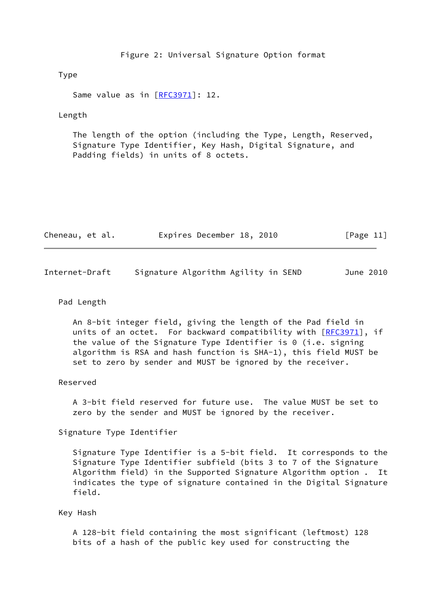Figure 2: Universal Signature Option format

## Type

Same value as in [\[RFC3971](https://datatracker.ietf.org/doc/pdf/rfc3971)]: 12.

#### Length

 The length of the option (including the Type, Length, Reserved, Signature Type Identifier, Key Hash, Digital Signature, and Padding fields) in units of 8 octets.

| Cheneau, et al. | Expires December 18, 2010 | [Page 11] |
|-----------------|---------------------------|-----------|
|-----------------|---------------------------|-----------|

| Internet-Draft |  | Signature Algorithm Agility in SEND | June 2010 |  |
|----------------|--|-------------------------------------|-----------|--|
|                |  |                                     |           |  |

## Pad Length

 An 8-bit integer field, giving the length of the Pad field in units of an octet. For backward compatibility with [\[RFC3971](https://datatracker.ietf.org/doc/pdf/rfc3971)], if the value of the Signature Type Identifier is 0 (i.e. signing algorithm is RSA and hash function is SHA-1), this field MUST be set to zero by sender and MUST be ignored by the receiver.

#### Reserved

 A 3-bit field reserved for future use. The value MUST be set to zero by the sender and MUST be ignored by the receiver.

Signature Type Identifier

 Signature Type Identifier is a 5-bit field. It corresponds to the Signature Type Identifier subfield (bits 3 to 7 of the Signature Algorithm field) in the Supported Signature Algorithm option . It indicates the type of signature contained in the Digital Signature field.

#### Key Hash

 A 128-bit field containing the most significant (leftmost) 128 bits of a hash of the public key used for constructing the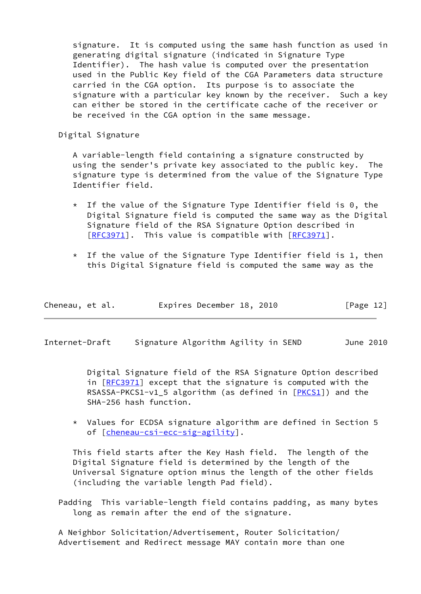signature. It is computed using the same hash function as used in generating digital signature (indicated in Signature Type Identifier). The hash value is computed over the presentation used in the Public Key field of the CGA Parameters data structure carried in the CGA option. Its purpose is to associate the signature with a particular key known by the receiver. Such a key can either be stored in the certificate cache of the receiver or be received in the CGA option in the same message.

Digital Signature

 A variable-length field containing a signature constructed by using the sender's private key associated to the public key. The signature type is determined from the value of the Signature Type Identifier field.

- $*$  If the value of the Signature Type Identifier field is 0, the Digital Signature field is computed the same way as the Digital Signature field of the RSA Signature Option described in [[RFC3971](https://datatracker.ietf.org/doc/pdf/rfc3971)]. This value is compatible with [\[RFC3971](https://datatracker.ietf.org/doc/pdf/rfc3971)].
- $*$  If the value of the Signature Type Identifier field is 1, then this Digital Signature field is computed the same way as the

| Cheneau, et al. | Expires December 18, 2010 |  | [Page 12] |
|-----------------|---------------------------|--|-----------|
|                 |                           |  |           |

<span id="page-13-0"></span>Internet-Draft Signature Algorithm Agility in SEND June 2010

 Digital Signature field of the RSA Signature Option described in [\[RFC3971](https://datatracker.ietf.org/doc/pdf/rfc3971)] except that the signature is computed with the RSASSA-PKCS1-v1\_5 algorithm (as defined in [\[PKCS1\]](#page-28-0)) and the SHA-256 hash function.

 \* Values for ECDSA signature algorithm are defined in Section 5 of [\[cheneau-csi-ecc-sig-agility](#page-27-4)].

 This field starts after the Key Hash field. The length of the Digital Signature field is determined by the length of the Universal Signature option minus the length of the other fields (including the variable length Pad field).

 Padding This variable-length field contains padding, as many bytes long as remain after the end of the signature.

 A Neighbor Solicitation/Advertisement, Router Solicitation/ Advertisement and Redirect message MAY contain more than one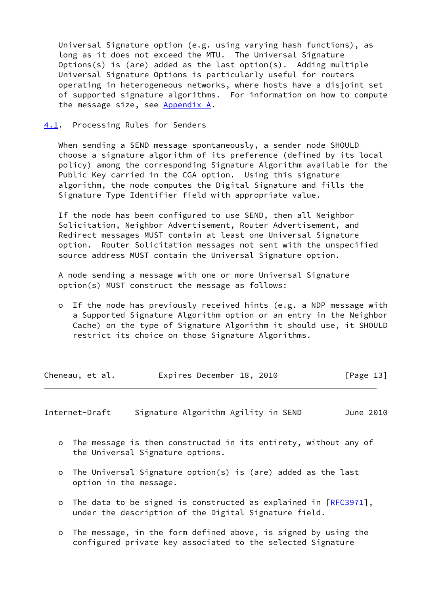Universal Signature option (e.g. using varying hash functions), as long as it does not exceed the MTU. The Universal Signature Options(s) is (are) added as the last option(s). Adding multiple Universal Signature Options is particularly useful for routers operating in heterogeneous networks, where hosts have a disjoint set of supported signature algorithms. For information on how to compute the message size, see [Appendix A.](#page-29-0)

#### <span id="page-14-0"></span>[4.1](#page-14-0). Processing Rules for Senders

When sending a SEND message spontaneously, a sender node SHOULD choose a signature algorithm of its preference (defined by its local policy) among the corresponding Signature Algorithm available for the Public Key carried in the CGA option. Using this signature algorithm, the node computes the Digital Signature and fills the Signature Type Identifier field with appropriate value.

 If the node has been configured to use SEND, then all Neighbor Solicitation, Neighbor Advertisement, Router Advertisement, and Redirect messages MUST contain at least one Universal Signature option. Router Solicitation messages not sent with the unspecified source address MUST contain the Universal Signature option.

 A node sending a message with one or more Universal Signature option(s) MUST construct the message as follows:

 o If the node has previously received hints (e.g. a NDP message with a Supported Signature Algorithm option or an entry in the Neighbor Cache) on the type of Signature Algorithm it should use, it SHOULD restrict its choice on those Signature Algorithms.

<span id="page-14-1"></span>

|  | Cheneau, et al. | Expires December 18, 2010 |  | [Page 13] |
|--|-----------------|---------------------------|--|-----------|
|--|-----------------|---------------------------|--|-----------|

- o The message is then constructed in its entirety, without any of the Universal Signature options.
- o The Universal Signature option(s) is (are) added as the last option in the message.
- o The data to be signed is constructed as explained in [\[RFC3971](https://datatracker.ietf.org/doc/pdf/rfc3971)], under the description of the Digital Signature field.
- o The message, in the form defined above, is signed by using the configured private key associated to the selected Signature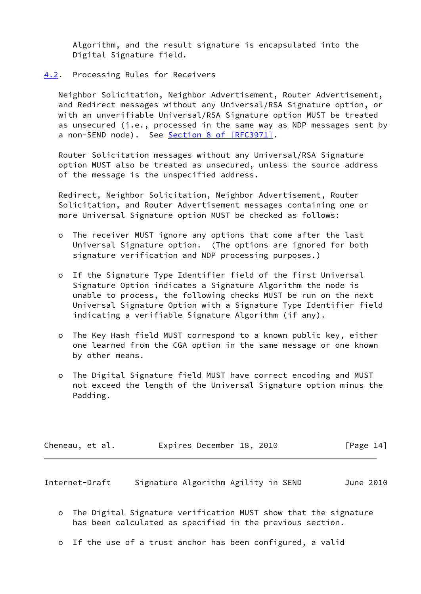Algorithm, and the result signature is encapsulated into the Digital Signature field.

<span id="page-15-0"></span>[4.2](#page-15-0). Processing Rules for Receivers

 Neighbor Solicitation, Neighbor Advertisement, Router Advertisement, and Redirect messages without any Universal/RSA Signature option, or with an unverifiable Universal/RSA Signature option MUST be treated as unsecured (i.e., processed in the same way as NDP messages sent by a non-SEND node). See Section [8 of \[RFC3971\]](https://datatracker.ietf.org/doc/pdf/rfc3971#section-8).

 Router Solicitation messages without any Universal/RSA Signature option MUST also be treated as unsecured, unless the source address of the message is the unspecified address.

 Redirect, Neighbor Solicitation, Neighbor Advertisement, Router Solicitation, and Router Advertisement messages containing one or more Universal Signature option MUST be checked as follows:

- o The receiver MUST ignore any options that come after the last Universal Signature option. (The options are ignored for both signature verification and NDP processing purposes.)
- o If the Signature Type Identifier field of the first Universal Signature Option indicates a Signature Algorithm the node is unable to process, the following checks MUST be run on the next Universal Signature Option with a Signature Type Identifier field indicating a verifiable Signature Algorithm (if any).
- o The Key Hash field MUST correspond to a known public key, either one learned from the CGA option in the same message or one known by other means.
- o The Digital Signature field MUST have correct encoding and MUST not exceed the length of the Universal Signature option minus the Padding.

| Cheneau, et al. | Expires December 18, 2010 |  | [Page 14] |
|-----------------|---------------------------|--|-----------|
|-----------------|---------------------------|--|-----------|

- o The Digital Signature verification MUST show that the signature has been calculated as specified in the previous section.
- o If the use of a trust anchor has been configured, a valid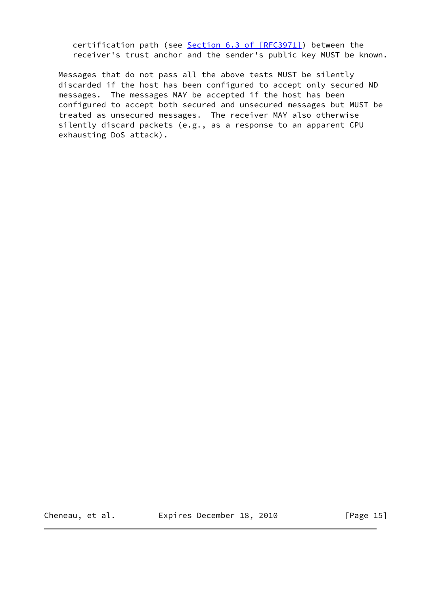certification path (see Section [6.3 of \[RFC3971\]\)](https://datatracker.ietf.org/doc/pdf/rfc3971#section-6.3) between the receiver's trust anchor and the sender's public key MUST be known.

 Messages that do not pass all the above tests MUST be silently discarded if the host has been configured to accept only secured ND messages. The messages MAY be accepted if the host has been configured to accept both secured and unsecured messages but MUST be treated as unsecured messages. The receiver MAY also otherwise silently discard packets (e.g., as a response to an apparent CPU exhausting DoS attack).

Cheneau, et al. 
Expires December 18, 2010

[Page 15]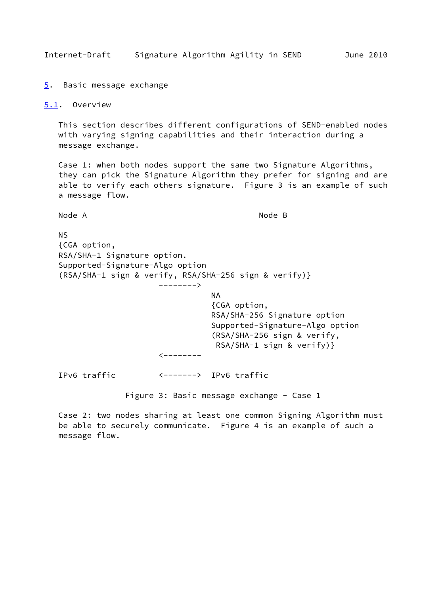<span id="page-17-1"></span>Internet-Draft Signature Algorithm Agility in SEND June 2010

<span id="page-17-0"></span>[5](#page-17-0). Basic message exchange

<span id="page-17-2"></span>[5.1](#page-17-2). Overview

 This section describes different configurations of SEND-enabled nodes with varying signing capabilities and their interaction during a message exchange.

 Case 1: when both nodes support the same two Signature Algorithms, they can pick the Signature Algorithm they prefer for signing and are able to verify each others signature. Figure 3 is an example of such a message flow.

Node A Node B

 NS {CGA option, RSA/SHA-1 Signature option. Supported-Signature-Algo option (RSA/SHA-1 sign & verify, RSA/SHA-256 sign & verify)} --------> na na matangana na katalog at na matanganan na kanaan na matanganan na matanganan na matanganan na matanganan {CGA option, RSA/SHA-256 Signature option Supported-Signature-Algo option (RSA/SHA-256 sign & verify, RSA/SHA-1 sign & verify)}  $\leftarrow$  - - - - - - - - IPv6 traffic <-------> IPv6 traffic Figure 3: Basic message exchange - Case 1 Case 2: two nodes sharing at least one common Signing Algorithm must

 be able to securely communicate. Figure 4 is an example of such a message flow.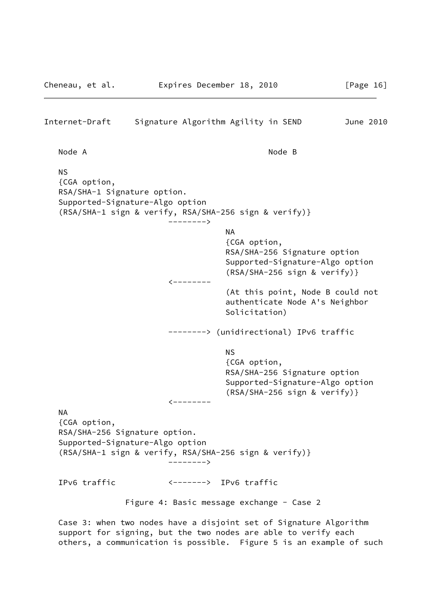# Internet-Draft Signature Algorithm Agility in SEND June 2010 Node A Node B NS {CGA option, RSA/SHA-1 Signature option. Supported-Signature-Algo option (RSA/SHA-1 sign & verify, RSA/SHA-256 sign & verify)} --------> na na matangana na katalog na katalog na katalog na katalog na katalog na katalog na katalog na katalog na kat {CGA option, RSA/SHA-256 Signature option Supported-Signature-Algo option (RSA/SHA-256 sign & verify)} <-------- (At this point, Node B could not authenticate Node A's Neighbor Solicitation) --------> (unidirectional) IPv6 traffic NS And the state of the state of the SNS {CGA option, RSA/SHA-256 Signature option Supported-Signature-Algo option (RSA/SHA-256 sign & verify)}  $\zeta$  -------- NA {CGA option, RSA/SHA-256 Signature option. Supported-Signature-Algo option (RSA/SHA-1 sign & verify, RSA/SHA-256 sign & verify)} --------> IPv6 traffic <-------> IPv6 traffic Figure 4: Basic message exchange - Case 2 Case 3: when two nodes have a disjoint set of Signature Algorithm support for signing, but the two nodes are able to verify each

others, a communication is possible. Figure 5 is an example of such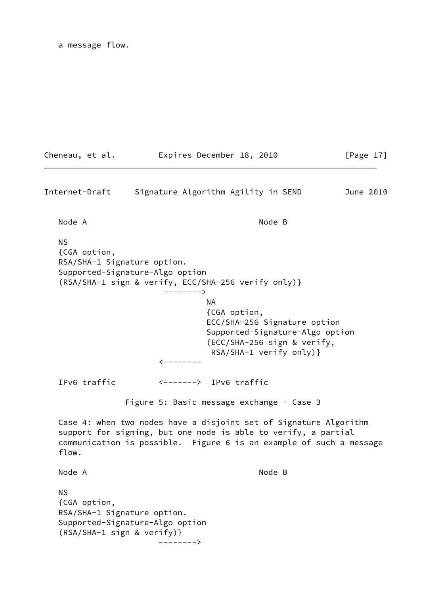a message flow.

Cheneau, et al. **Expires December 18, 2010** [Page 17] Internet-Draft Signature Algorithm Agility in SEND June 2010 Node A Node B NS {CGA option, RSA/SHA-1 Signature option. Supported-Signature-Algo option (RSA/SHA-1 sign & verify, ECC/SHA-256 verify only)} --------> na a shekarar 1972 a ƙafa ta ƙasar Ingila. NA {CGA option, ECC/SHA-256 Signature option Supported-Signature-Algo option (ECC/SHA-256 sign & verify, RSA/SHA-1 verify only)}  $\leftarrow$  -------- IPv6 traffic <-------> IPv6 traffic Figure 5: Basic message exchange - Case 3 Case 4: when two nodes have a disjoint set of Signature Algorithm support for signing, but one node is able to verify, a partial communication is possible. Figure 6 is an example of such a message flow. Node A Node B NS {CGA option, RSA/SHA-1 Signature option. Supported-Signature-Algo option (RSA/SHA-1 sign & verify)}

-------->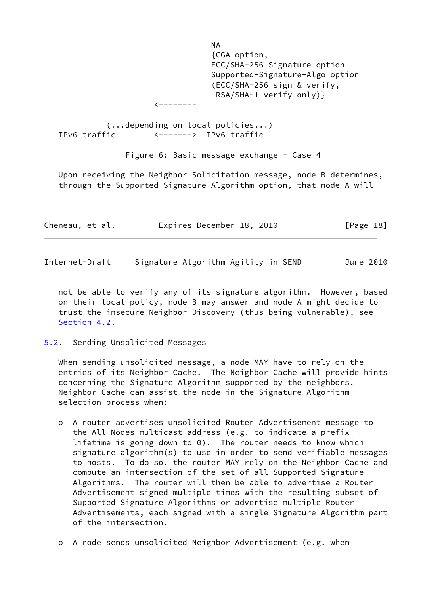na na matangana na katalog at na matanganan na kanaan na matanganan na matanganan na matanganan na matanganan {CGA option, ECC/SHA-256 Signature option Supported-Signature-Algo option (ECC/SHA-256 sign & verify, RSA/SHA-1 verify only)}  $\zeta$  -------- (...depending on local policies...) IPv6 traffic <-------> IPv6 traffic Figure 6: Basic message exchange - Case 4

 Upon receiving the Neighbor Solicitation message, node B determines, through the Supported Signature Algorithm option, that node A will

| Cheneau, et al. |  |  | Expires December 18, 2010 |  |  | [Page 18] |
|-----------------|--|--|---------------------------|--|--|-----------|
|-----------------|--|--|---------------------------|--|--|-----------|

<span id="page-20-1"></span>Internet-Draft Signature Algorithm Agility in SEND June 2010

 not be able to verify any of its signature algorithm. However, based on their local policy, node B may answer and node A might decide to trust the insecure Neighbor Discovery (thus being vulnerable), see [Section 4.2](#page-15-0).

#### <span id="page-20-0"></span>[5.2](#page-20-0). Sending Unsolicited Messages

 When sending unsolicited message, a node MAY have to rely on the entries of its Neighbor Cache. The Neighbor Cache will provide hints concerning the Signature Algorithm supported by the neighbors. Neighbor Cache can assist the node in the Signature Algorithm selection process when:

- o A router advertises unsolicited Router Advertisement message to the All-Nodes multicast address (e.g. to indicate a prefix lifetime is going down to 0). The router needs to know which signature algorithm(s) to use in order to send verifiable messages to hosts. To do so, the router MAY rely on the Neighbor Cache and compute an intersection of the set of all Supported Signature Algorithms. The router will then be able to advertise a Router Advertisement signed multiple times with the resulting subset of Supported Signature Algorithms or advertise multiple Router Advertisements, each signed with a single Signature Algorithm part of the intersection.
- o A node sends unsolicited Neighbor Advertisement (e.g. when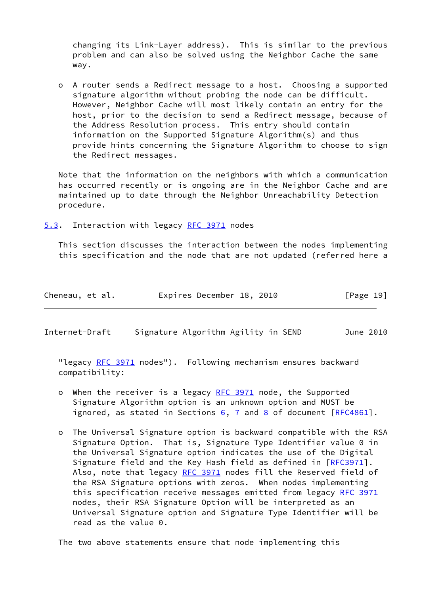changing its Link-Layer address). This is similar to the previous problem and can also be solved using the Neighbor Cache the same way.

 o A router sends a Redirect message to a host. Choosing a supported signature algorithm without probing the node can be difficult. However, Neighbor Cache will most likely contain an entry for the host, prior to the decision to send a Redirect message, because of the Address Resolution process. This entry should contain information on the Supported Signature Algorithm(s) and thus provide hints concerning the Signature Algorithm to choose to sign the Redirect messages.

 Note that the information on the neighbors with which a communication has occurred recently or is ongoing are in the Neighbor Cache and are maintained up to date through the Neighbor Unreachability Detection procedure.

<span id="page-21-0"></span>[5.3](#page-21-0). Interaction with legacy [RFC 3971](https://datatracker.ietf.org/doc/pdf/rfc3971) nodes

 This section discusses the interaction between the nodes implementing this specification and the node that are not updated (referred here a

| Cheneau, et al. | Expires December 18, 2010 |  | [Page 19] |
|-----------------|---------------------------|--|-----------|
|-----------------|---------------------------|--|-----------|

Internet-Draft Signature Algorithm Agility in SEND June 2010

 "legacy [RFC 3971](https://datatracker.ietf.org/doc/pdf/rfc3971) nodes"). Following mechanism ensures backward compatibility:

- o When the receiver is a legacy [RFC 3971](https://datatracker.ietf.org/doc/pdf/rfc3971) node, the Supported Signature Algorithm option is an unknown option and MUST be ignored, as stated in Sections  $6, 7$  $6, 7$  and  $8$  of document  $[REC4861]$ .
- o The Universal Signature option is backward compatible with the RSA Signature Option. That is, Signature Type Identifier value 0 in the Universal Signature option indicates the use of the Digital Signature field and the Key Hash field as defined in [\[RFC3971](https://datatracker.ietf.org/doc/pdf/rfc3971)]. Also, note that legacy [RFC 3971](https://datatracker.ietf.org/doc/pdf/rfc3971) nodes fill the Reserved field of the RSA Signature options with zeros. When nodes implementing this specification receive messages emitted from legacy [RFC 3971](https://datatracker.ietf.org/doc/pdf/rfc3971) nodes, their RSA Signature Option will be interpreted as an Universal Signature option and Signature Type Identifier will be read as the value 0.

The two above statements ensure that node implementing this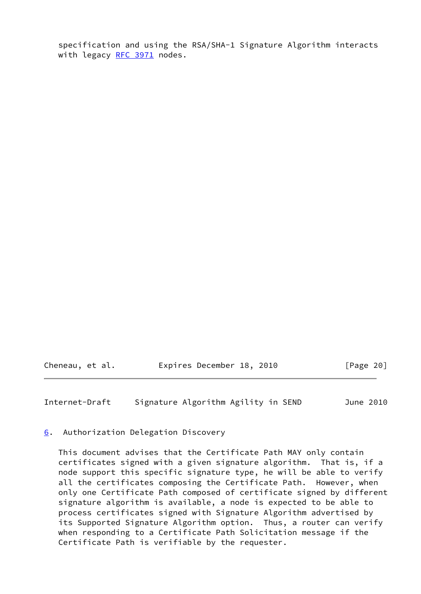specification and using the RSA/SHA-1 Signature Algorithm interacts with legacy [RFC 3971](https://datatracker.ietf.org/doc/pdf/rfc3971) nodes.

Cheneau, et al. Expires December 18, 2010 [Page 20]

<span id="page-22-1"></span>Internet-Draft Signature Algorithm Agility in SEND June 2010

<span id="page-22-0"></span>[6](#page-22-0). Authorization Delegation Discovery

 This document advises that the Certificate Path MAY only contain certificates signed with a given signature algorithm. That is, if a node support this specific signature type, he will be able to verify all the certificates composing the Certificate Path. However, when only one Certificate Path composed of certificate signed by different signature algorithm is available, a node is expected to be able to process certificates signed with Signature Algorithm advertised by its Supported Signature Algorithm option. Thus, a router can verify when responding to a Certificate Path Solicitation message if the Certificate Path is verifiable by the requester.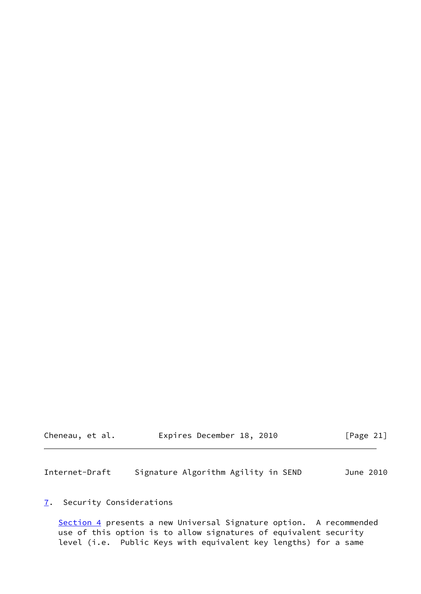| Cheneau, et al. | Expires December 18, 2010 |  | [Page 21] |
|-----------------|---------------------------|--|-----------|
|-----------------|---------------------------|--|-----------|

<span id="page-23-1"></span>Internet-Draft Signature Algorithm Agility in SEND June 2010

# <span id="page-23-0"></span>[7](#page-23-0). Security Considerations

[Section 4](#page-11-0) presents a new Universal Signature option. A recommended use of this option is to allow signatures of equivalent security level (i.e. Public Keys with equivalent key lengths) for a same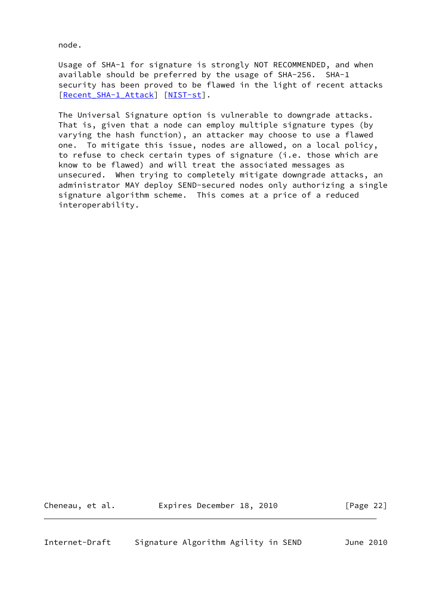node.

 Usage of SHA-1 for signature is strongly NOT RECOMMENDED, and when available should be preferred by the usage of SHA-256. SHA-1 security has been proved to be flawed in the light of recent attacks [Recent SHA-1 Attack] [[NIST-st](#page-27-5)].

 The Universal Signature option is vulnerable to downgrade attacks. That is, given that a node can employ multiple signature types (by varying the hash function), an attacker may choose to use a flawed one. To mitigate this issue, nodes are allowed, on a local policy, to refuse to check certain types of signature (i.e. those which are know to be flawed) and will treat the associated messages as unsecured. When trying to completely mitigate downgrade attacks, an administrator MAY deploy SEND-secured nodes only authorizing a single signature algorithm scheme. This comes at a price of a reduced interoperability.

<span id="page-24-0"></span>Cheneau, et al. **Expires December 18, 2010** [Page 22]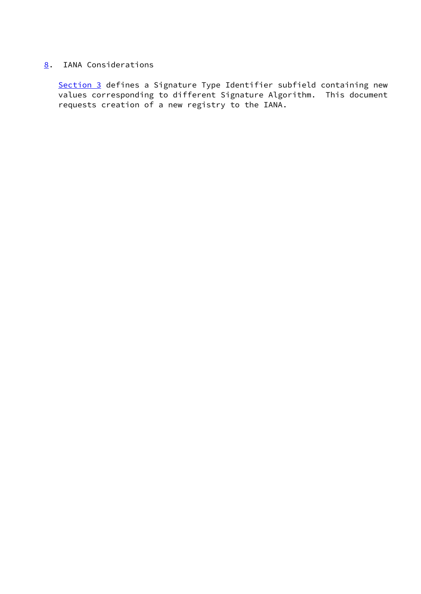## <span id="page-25-0"></span>[8](#page-25-0). IANA Considerations

 [Section 3](#page-6-1) defines a Signature Type Identifier subfield containing new values corresponding to different Signature Algorithm. This document requests creation of a new registry to the IANA.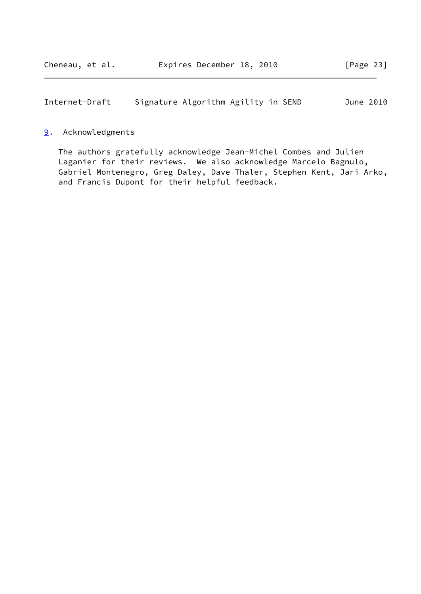<span id="page-26-1"></span>Internet-Draft Signature Algorithm Agility in SEND June 2010

## <span id="page-26-0"></span>[9](#page-26-0). Acknowledgments

 The authors gratefully acknowledge Jean-Michel Combes and Julien Laganier for their reviews. We also acknowledge Marcelo Bagnulo, Gabriel Montenegro, Greg Daley, Dave Thaler, Stephen Kent, Jari Arko, and Francis Dupont for their helpful feedback.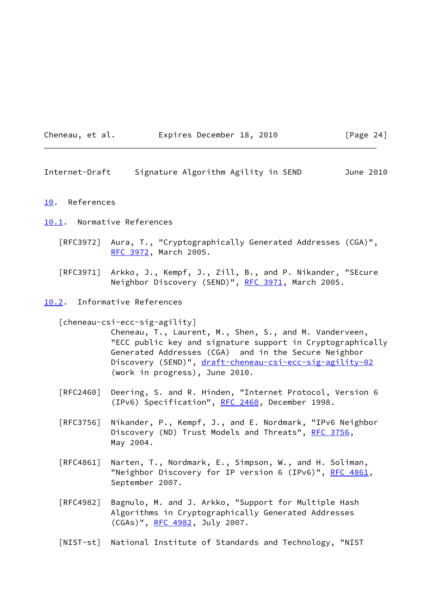| Cheneau,<br>et al. |  |  |
|--------------------|--|--|
|--------------------|--|--|

## Expires December 18, 2010 [Page 24]

<span id="page-27-1"></span>Internet-Draft Signature Algorithm Agility in SEND June 2010

## <span id="page-27-0"></span>[10.](#page-27-0) References

#### <span id="page-27-2"></span>[10.1](#page-27-2). Normative References

- [RFC3972] Aura, T., "Cryptographically Generated Addresses (CGA)", [RFC 3972,](https://datatracker.ietf.org/doc/pdf/rfc3972) March 2005.
- [RFC3971] Arkko, J., Kempf, J., Zill, B., and P. Nikander, "SEcure Neighbor Discovery (SEND)", [RFC 3971,](https://datatracker.ietf.org/doc/pdf/rfc3971) March 2005.

## <span id="page-27-3"></span>[10.2](#page-27-3). Informative References

## <span id="page-27-4"></span>[cheneau-csi-ecc-sig-agility]

 Cheneau, T., Laurent, M., Shen, S., and M. Vanderveen, "ECC public key and signature support in Cryptographically Generated Addresses (CGA) and in the Secure Neighbor Discovery (SEND)", [draft-cheneau-csi-ecc-sig-agility-02](https://datatracker.ietf.org/doc/pdf/draft-cheneau-csi-ecc-sig-agility-02) (work in progress), June 2010.

- [RFC2460] Deering, S. and R. Hinden, "Internet Protocol, Version 6 (IPv6) Specification", [RFC 2460](https://datatracker.ietf.org/doc/pdf/rfc2460), December 1998.
- [RFC3756] Nikander, P., Kempf, J., and E. Nordmark, "IPv6 Neighbor Discovery (ND) Trust Models and Threats", [RFC 3756](https://datatracker.ietf.org/doc/pdf/rfc3756), May 2004.
- [RFC4861] Narten, T., Nordmark, E., Simpson, W., and H. Soliman, "Neighbor Discovery for IP version 6 (IPv6)", <u>RFC 4861</u>, September 2007.
- [RFC4982] Bagnulo, M. and J. Arkko, "Support for Multiple Hash Algorithms in Cryptographically Generated Addresses (CGAs)", [RFC 4982,](https://datatracker.ietf.org/doc/pdf/rfc4982) July 2007.
- <span id="page-27-5"></span>[NIST-st] National Institute of Standards and Technology, "NIST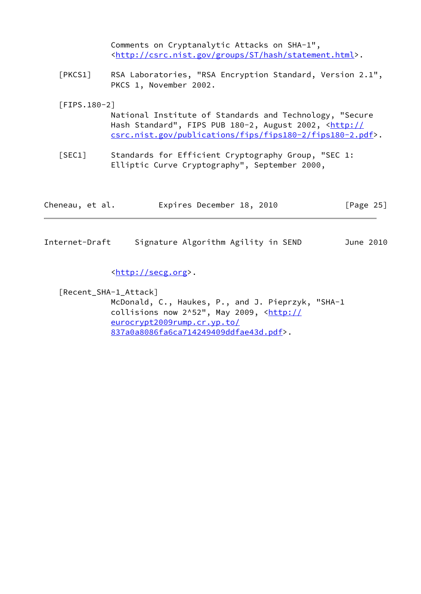<span id="page-28-0"></span>

| Internet-Draft   | Signature Algorithm Agility in SEND                                                                                                                                                        | June 2010    |  |
|------------------|--------------------------------------------------------------------------------------------------------------------------------------------------------------------------------------------|--------------|--|
| Cheneau, et al.  | Expires December 18, 2010                                                                                                                                                                  | [Page $25$ ] |  |
| [SEC1]           | Standards for Efficient Cryptography Group, "SEC 1:<br>Elliptic Curve Cryptography", September 2000,                                                                                       |              |  |
| $[$ FIPS. 180-2] | National Institute of Standards and Technology, "Secure<br>Hash Standard", FIPS PUB 180-2, August 2002, <http: <br="">csrc.nist.gov/publications/fips/fips180-2/fips180-2.pdf&gt;.</http:> |              |  |
| [PKCS1]          | RSA Laboratories, "RSA Encryption Standard, Version 2.1",<br>PKCS 1, November 2002.                                                                                                        |              |  |
|                  | Comments on Cryptanalytic Attacks on SHA-1",<br><http: csrc.nist.gov="" groups="" hash="" st="" statement.html="">.</http:>                                                                |              |  |

<[http://secg.org>](http://secg.org).

<span id="page-28-1"></span> [Recent\_SHA-1\_Attack] McDonald, C., Haukes, P., and J. Pieprzyk, "SHA-1 collisions now  $2^s52$ ", May 2009,  $\frac{\text{http://}}{\text{http://}}$  $\frac{\text{http://}}{\text{http://}}$  $\frac{\text{http://}}{\text{http://}}$  [eurocrypt2009rump.cr.yp.to/](http://eurocrypt2009rump.cr.yp.to/837a0a8086fa6ca714249409ddfae43d.pdf) [837a0a8086fa6ca714249409ddfae43d.pdf>](http://eurocrypt2009rump.cr.yp.to/837a0a8086fa6ca714249409ddfae43d.pdf).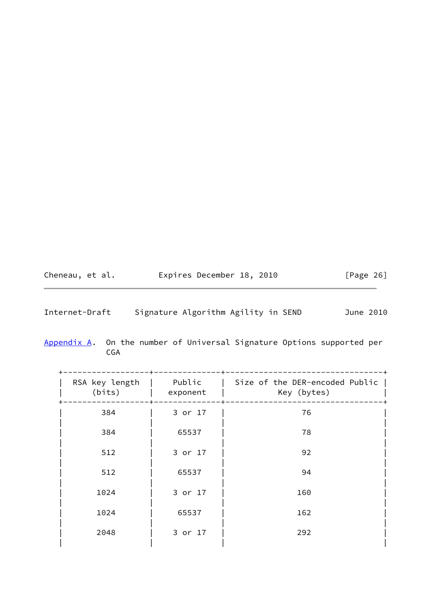<span id="page-29-1"></span>

| Cheneau, et al. | Expires December 18, 2010 |  | [Page 26] |
|-----------------|---------------------------|--|-----------|
|-----------------|---------------------------|--|-----------|

<span id="page-29-0"></span>

| Appendix A. On the number of Universal Signature Options supported per |     |  |  |  |  |
|------------------------------------------------------------------------|-----|--|--|--|--|
|                                                                        | CGA |  |  |  |  |

| RSA key length<br>(bits) | Public<br>exponent | Size of the DER-encoded Public  <br>Key (bytes) |  |
|--------------------------|--------------------|-------------------------------------------------|--|
| 384                      | 3 or 17            | 76                                              |  |
| 384                      | 65537              | 78                                              |  |
| 512                      | 3 or 17            | 92                                              |  |
| 512                      | 65537              | 94                                              |  |
| 1024                     | 3 or 17            | 160                                             |  |
| 1024                     | 65537              | 162                                             |  |
| 2048                     | 3 or 17            | 292                                             |  |
|                          |                    |                                                 |  |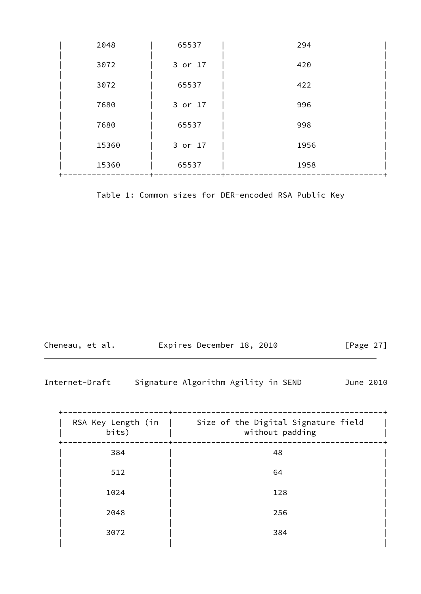| 2048  | 65537   | 294  |
|-------|---------|------|
| 3072  | 3 or 17 | 420  |
| 3072  | 65537   | 422  |
| 7680  | 3 or 17 | 996  |
| 7680  | 65537   | 998  |
| 15360 | 3 or 17 | 1956 |
| 15360 | 65537   | 1958 |

Table 1: Common sizes for DER-encoded RSA Public Key

| Cheneau, et al. |  | Expires December 18, 2010 |  |  | [Page 27] |  |
|-----------------|--|---------------------------|--|--|-----------|--|
|-----------------|--|---------------------------|--|--|-----------|--|

| RSA Key Length (in  <br>bits) | Size of the Digital Signature field<br>without padding |  |
|-------------------------------|--------------------------------------------------------|--|
| 384                           | 48                                                     |  |
| 512                           | 64                                                     |  |
| 1024                          | 128                                                    |  |
| 2048                          | 256                                                    |  |
| 3072                          | 384                                                    |  |
|                               |                                                        |  |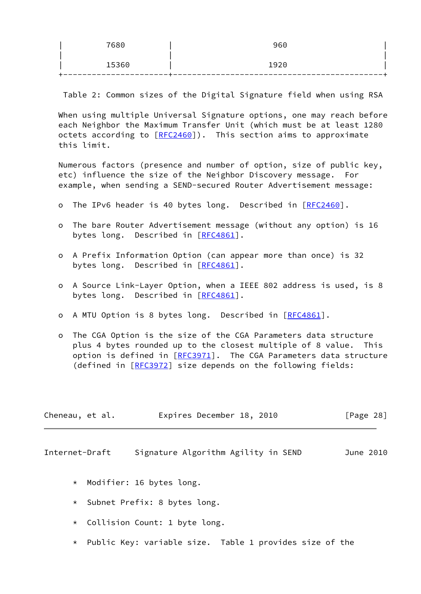| 7680  | 960  |  |
|-------|------|--|
| 15360 | 1920 |  |
|       |      |  |

Table 2: Common sizes of the Digital Signature field when using RSA

 When using multiple Universal Signature options, one may reach before each Neighbor the Maximum Transfer Unit (which must be at least 1280 octets according to  $[REC2460]$ . This section aims to approximate this limit.

 Numerous factors (presence and number of option, size of public key, etc) influence the size of the Neighbor Discovery message. For example, when sending a SEND-secured Router Advertisement message:

- o The IPv6 header is 40 bytes long. Described in [[RFC2460\]](https://datatracker.ietf.org/doc/pdf/rfc2460).
- o The bare Router Advertisement message (without any option) is 16 bytes long. Described in [\[RFC4861](https://datatracker.ietf.org/doc/pdf/rfc4861)].
- o A Prefix Information Option (can appear more than once) is 32 bytes long. Described in [\[RFC4861](https://datatracker.ietf.org/doc/pdf/rfc4861)].
- o A Source Link-Layer Option, when a IEEE 802 address is used, is 8 bytes long. Described in [\[RFC4861](https://datatracker.ietf.org/doc/pdf/rfc4861)].
- o A MTU Option is 8 bytes long. Described in [\[RFC4861](https://datatracker.ietf.org/doc/pdf/rfc4861)].
- o The CGA Option is the size of the CGA Parameters data structure plus 4 bytes rounded up to the closest multiple of 8 value. This option is defined in  $[REC3971]$ . The CGA Parameters data structure (defined in [\[RFC3972](https://datatracker.ietf.org/doc/pdf/rfc3972)] size depends on the following fields:

| Cheneau, et al. | Expires December 18, 2010 | [Page 28] |
|-----------------|---------------------------|-----------|
|-----------------|---------------------------|-----------|

- \* Modifier: 16 bytes long.
- \* Subnet Prefix: 8 bytes long.
- \* Collision Count: 1 byte long.
- \* Public Key: variable size. Table 1 provides size of the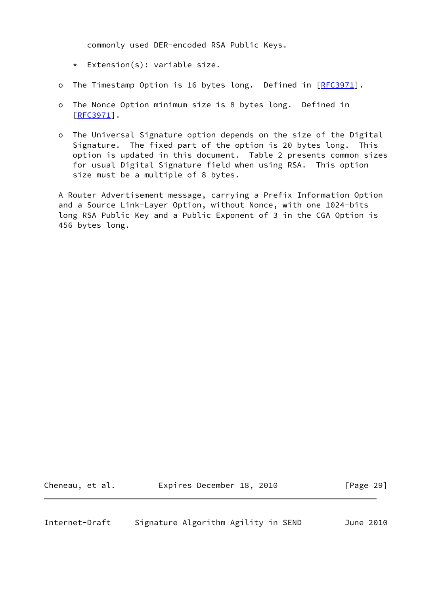commonly used DER-encoded RSA Public Keys.

- \* Extension(s): variable size.
- o The Timestamp Option is 16 bytes long. Defined in [[RFC3971](https://datatracker.ietf.org/doc/pdf/rfc3971)].
- o The Nonce Option minimum size is 8 bytes long. Defined in [[RFC3971\]](https://datatracker.ietf.org/doc/pdf/rfc3971).
- o The Universal Signature option depends on the size of the Digital Signature. The fixed part of the option is 20 bytes long. This option is updated in this document. Table 2 presents common sizes for usual Digital Signature field when using RSA. This option size must be a multiple of 8 bytes.

 A Router Advertisement message, carrying a Prefix Information Option and a Source Link-Layer Option, without Nonce, with one 1024-bits long RSA Public Key and a Public Exponent of 3 in the CGA Option is 456 bytes long.

<span id="page-32-0"></span>

Cheneau, et al. Expires December 18, 2010 [Page 29]